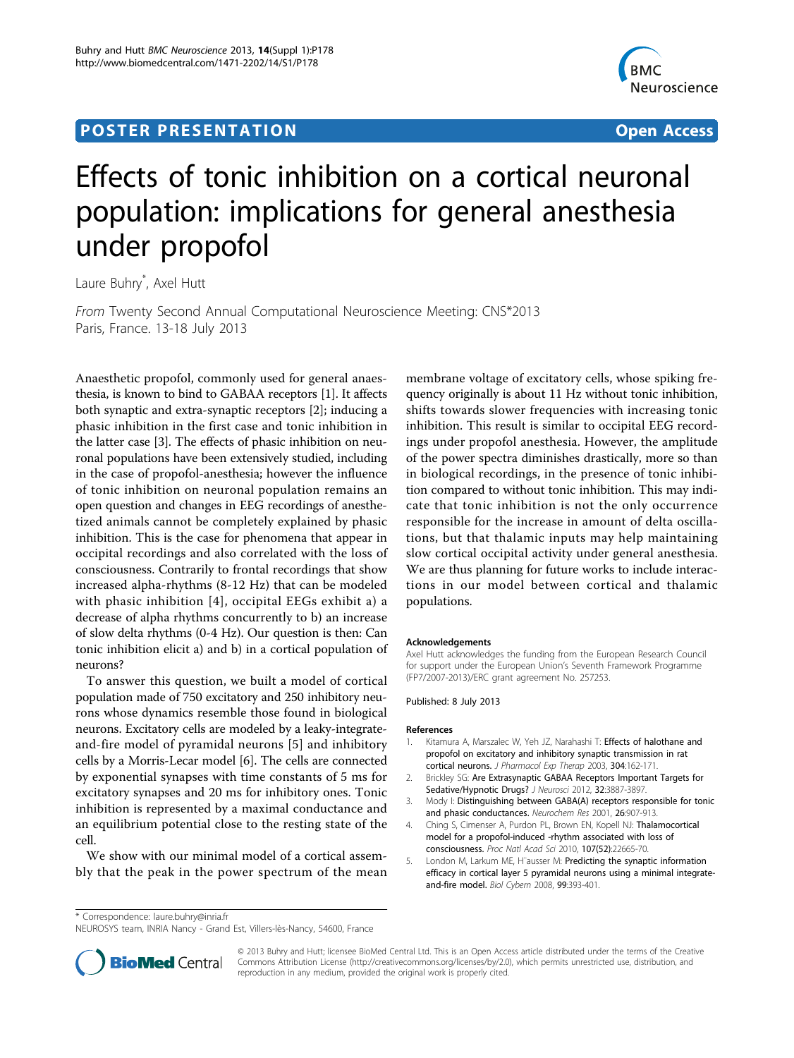## **POSTER PRESENTATION CONSUMING ACCESS**



# Effects of tonic inhibition on a cortical neuronal population: implications for general anesthesia under propofol

Laure Buhry\* , Axel Hutt

From Twenty Second Annual Computational Neuroscience Meeting: CNS\*2013 Paris, France. 13-18 July 2013

Anaesthetic propofol, commonly used for general anaesthesia, is known to bind to GABAA receptors [1]. It affects both synaptic and extra-synaptic receptors [2]; inducing a phasic inhibition in the first case and tonic inhibition in the latter case [3]. The effects of phasic inhibition on neuronal populations have been extensively studied, including in the case of propofol-anesthesia; however the influence of tonic inhibition on neuronal population remains an open question and changes in EEG recordings of anesthetized animals cannot be completely explained by phasic inhibition. This is the case for phenomena that appear in occipital recordings and also correlated with the loss of consciousness. Contrarily to frontal recordings that show increased alpha-rhythms (8-12 Hz) that can be modeled with phasic inhibition [4], occipital EEGs exhibit a) a decrease of alpha rhythms concurrently to b) an increase of slow delta rhythms (0-4 Hz). Our question is then: Can tonic inhibition elicit a) and b) in a cortical population of neurons?

To answer this question, we built a model of cortical population made of 750 excitatory and 250 inhibitory neurons whose dynamics resemble those found in biological neurons. Excitatory cells are modeled by a leaky-integrateand-fire model of pyramidal neurons [5] and inhibitory cells by a Morris-Lecar model [[6](#page-1-0)]. The cells are connected by exponential synapses with time constants of 5 ms for excitatory synapses and 20 ms for inhibitory ones. Tonic inhibition is represented by a maximal conductance and an equilibrium potential close to the resting state of the cell.

We show with our minimal model of a cortical assembly that the peak in the power spectrum of the mean membrane voltage of excitatory cells, whose spiking frequency originally is about 11 Hz without tonic inhibition, shifts towards slower frequencies with increasing tonic inhibition. This result is similar to occipital EEG recordings under propofol anesthesia. However, the amplitude of the power spectra diminishes drastically, more so than in biological recordings, in the presence of tonic inhibition compared to without tonic inhibition. This may indicate that tonic inhibition is not the only occurrence responsible for the increase in amount of delta oscillations, but that thalamic inputs may help maintaining slow cortical occipital activity under general anesthesia. We are thus planning for future works to include interactions in our model between cortical and thalamic populations.

#### Acknowledgements

Axel Hutt acknowledges the funding from the European Research Council for support under the European Union's Seventh Framework Programme (FP7/2007-2013)/ERC grant agreement No. 257253.

Published: 8 July 2013

#### References

- 1. Kitamura A, Marszalec W, Yeh JZ, Narahashi T: **Effects of halothane and** propofol on excitatory and inhibitory synaptic transmission in rat cortical neurons. J Pharmacol Exp Therap 2003, 304:162-171.
- 2. Brickley SG: [Are Extrasynaptic GABAA Receptors Important Targets for](http://www.ncbi.nlm.nih.gov/pubmed/22423109?dopt=Abstract) [Sedative/Hypnotic Drugs?](http://www.ncbi.nlm.nih.gov/pubmed/22423109?dopt=Abstract) J Neurosci 2012, 32:3887-3897.
- 3. Mody I: [Distinguishing between GABA\(A\) receptors responsible for tonic](http://www.ncbi.nlm.nih.gov/pubmed/11699942?dopt=Abstract) [and phasic conductances.](http://www.ncbi.nlm.nih.gov/pubmed/11699942?dopt=Abstract) Neurochem Res 2001, 26:907-913.
- 4. Ching S, Cimenser A, Purdon PL, Brown EN, Kopell NJ: [Thalamocortical](http://www.ncbi.nlm.nih.gov/pubmed/21149695?dopt=Abstract) [model for a propofol-induced -rhythm associated with loss of](http://www.ncbi.nlm.nih.gov/pubmed/21149695?dopt=Abstract) [consciousness.](http://www.ncbi.nlm.nih.gov/pubmed/21149695?dopt=Abstract) Proc Natl Acad Sci 2010, 107(52):22665-70.
- 5. London M, Larkum ME, H¨ausser M: [Predicting the synaptic information](http://www.ncbi.nlm.nih.gov/pubmed/19011927?dopt=Abstract) [efficacy in cortical layer 5 pyramidal neurons using a minimal integrate](http://www.ncbi.nlm.nih.gov/pubmed/19011927?dopt=Abstract)[and-fire model.](http://www.ncbi.nlm.nih.gov/pubmed/19011927?dopt=Abstract) Biol Cybern 2008, 99:393-401.

\* Correspondence: [laure.buhry@inria.fr](mailto:laure.buhry@inria.fr)

NEUROSYS team, INRIA Nancy - Grand Est, Villers-lès-Nancy, 54600, France



© 2013 Buhry and Hutt; licensee BioMed Central Ltd. This is an Open Access article distributed under the terms of the Creative Commons Attribution License [\(http://creativecommons.org/licenses/by/2.0](http://creativecommons.org/licenses/by/2.0)), which permits unrestricted use, distribution, and reproduction in any medium, provided the original work is properly cited.